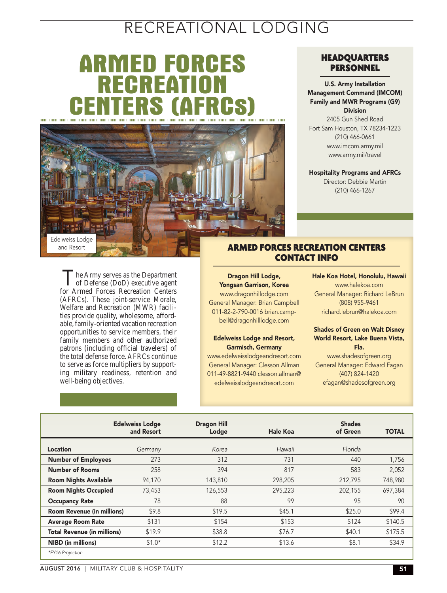## RECREATIONAL LODGING

# **ARMED FORCES RECREATI CENTERS (AFRCs)**



The Army serves as the Department<br>
of Defense (DoD) executive agent for Armed Forces Recreation Centers (AFRCs). These joint-service Morale, Welfare and Recreation (MWR) facilities provide quality, wholesome, affordable, family-oriented vacation recreation opportunities to service members, their family members and other authorized patrons (including official travelers) of the total defense force. AFRCs continue to serve as force multipliers by supporting military readiness, retention and

well-being objectives.

### HEADQUARTERS PERSONNEL

U.S. Army Installation Management Command (IMCOM) Family and MWR Programs (G9) Division

2405 Gun Shed Road Fort Sam Houston, TX 78234-1223 (210) 466-0661 www.imcom.army.mil www.army.mil/travel

Hospitality Programs and AFRCs

Director: Debbie Martin (210) 466-1267

### ARMED FORCES RECREATION CENTERS CONTACT INFO

Dragon Hill Lodge, Yongsan Garrison, Korea www.dragonhillodge.com General Manager: Brian Campbell 011-82-2-790-0016 brian.campbell@dragonhilllodge.com

#### Edelweiss Lodge and Resort, Garmisch, Germany

www.edelweisslodgeandresort.com General Manager: Clesson Allman 011-49-8821-9440 clesson.allman@ edelweisslodgeandresort.com

Hale Koa Hotel, Honolulu, Hawaii www.halekoa.com General Manager: Richard LeBrun (808) 955-9461 richard.lebrun@halekoa.com

### Shades of Green on Walt Disney World Resort, Lake Buena Vista, Fla. www.shadesofgreen.org

General Manager: Edward Fagan (407) 824-1420 efagan@shadesofgreen.org

|                                    | <b>Edelweiss Lodge</b><br>and Resort | <b>Dragon Hill</b><br>Lodge | Hale Koa | <b>Shades</b><br>of Green | <b>TOTAL</b> |
|------------------------------------|--------------------------------------|-----------------------------|----------|---------------------------|--------------|
| Location                           | Germany                              | Korea                       | Hawaii   | Florida                   |              |
| <b>Number of Employees</b>         | 273                                  | 312                         | 731      | 440                       | 1,756        |
| <b>Number of Rooms</b>             | 258                                  | 394                         | 817      | 583                       | 2,052        |
| <b>Room Nights Available</b>       | 94,170                               | 143,810                     | 298,205  | 212,795                   | 748,980      |
| <b>Room Nights Occupied</b>        | 73,453                               | 126,553                     | 295,223  | 202,155                   | 697.384      |
| <b>Occupancy Rate</b>              | 78                                   | 88                          | 99       | 95                        | 90           |
| <b>Room Revenue (in millions)</b>  | \$9.8                                | \$19.5                      | \$45.1   | \$25.0                    | \$99.4       |
| <b>Average Room Rate</b>           | \$131                                | \$154                       | \$153    | \$124                     | \$140.5      |
| <b>Total Revenue (in millions)</b> | \$19.9                               | \$38.8                      | \$76.7   | \$40.1                    | \$175.5      |
| <b>NIBD</b> (in millions)          | $$1.0*$                              | \$12.2                      | \$13.6   | \$8.1                     | \$34.9       |
| *FY16 Projection                   |                                      |                             |          |                           |              |